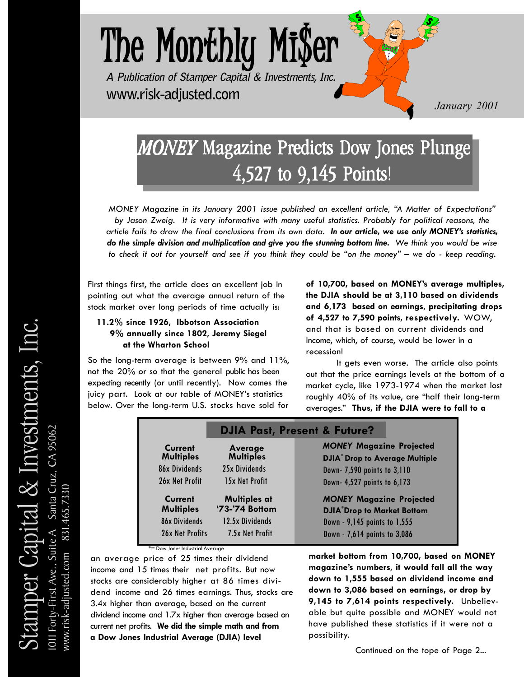

## *MONEY* Magazine Predicts Dow Jones Plunge 4,527 to  $9,145$  Points!

*MONEY Magazine in its January 2001 issue published an excellent article, ìA Matter of Expectationsî by Jason Zweig. It is very informative with many useful statistics. Probably for political reasons, the article fails to draw the final conclusions from its own data. In our article, we use only MONEYís statistics, do the simple division and multiplication and give you the stunning bottom line. We think you would be wise to check it out for yourself and see if you think they could be "on the money" – we do - keep reading.* 

First things first, the article does an excellent job in pointing out what the average annual return of the stock market over long periods of time actually is:

#### **11.2% since 1926, Ibbotson Association 9% annually since 1802, Jeremy Siegel at the Wharton School**

So the long-term average is between 9% and 11%, not the 20% or so that the general public has been expecting recently (or until recently). Now comes the juicy part. Look at our table of MONEY's statistics below. Over the long-term U.S. stocks have sold for **of 10,700, based on MONEYís average multiples, the DJIA should be at 3,110 based on dividends and 6,173 based on earnings, precipitating drops of 4,527 to 7,590 points, respectively.** WOW, and that is based on current dividends and income, which, of course, would be lower in a recession!

It gets even worse. The article also points out that the price earnings levels at the bottom of a market cycle, like 1973-1974 when the market lost roughly 40% of its value, are "half their long-term averages.î **Thus, if the DJIA were to fall to a**

|                             | <b>DJIA Past, Present &amp; Future?</b> |                                                                                     |  |  |
|-----------------------------|-----------------------------------------|-------------------------------------------------------------------------------------|--|--|
| Current<br><b>Multiples</b> | Average<br><b>Multiples</b>             | <b>MONEY Magazine Projected</b><br><b>DJIA<sup>*</sup> Drop to Average Multiple</b> |  |  |
| 86x Dividends               | 25x Dividends                           | Down- 7,590 points to 3,110                                                         |  |  |
| 26x Net Profit              | 15x Net Profit                          | Down- 4,527 points to 6,173                                                         |  |  |
| Current<br><b>Multiples</b> | <b>Multiples at</b><br>'73-'74 Bottom   | <b>MONEY Magazine Projected</b><br><b>DJIA<sup>*</sup>Drop to Market Bottom</b>     |  |  |
| 86x Dividends               | 12.5x Dividends                         | Down - 9,145 points to 1,555                                                        |  |  |
| 26x Net Profits             | 7.5x Net Profit                         | Down - 7,614 points to 3,086                                                        |  |  |

an average price of 25 times their dividend income and 15 times their net profits. But now stocks are considerably higher at 86 times dividend income and 26 times earnings. Thus, stocks are 3.4x higher than average, based on the current dividend income and 1.7x higher than average based on current net profits. **We did the simple math and from a Dow Jones Industrial Average (DJIA) level**

#### **market bottom from 10,700, based on MONEY magazineís numbers, it would fall all the way down to 1,555 based on dividend income and down to 3,086 based on earnings, or drop by 9,145 to 7,614 points respectively.** Unbelievable but quite possible and MONEY would not have published these statistics if it were not a possibility.

Continued on the tope of Page 2...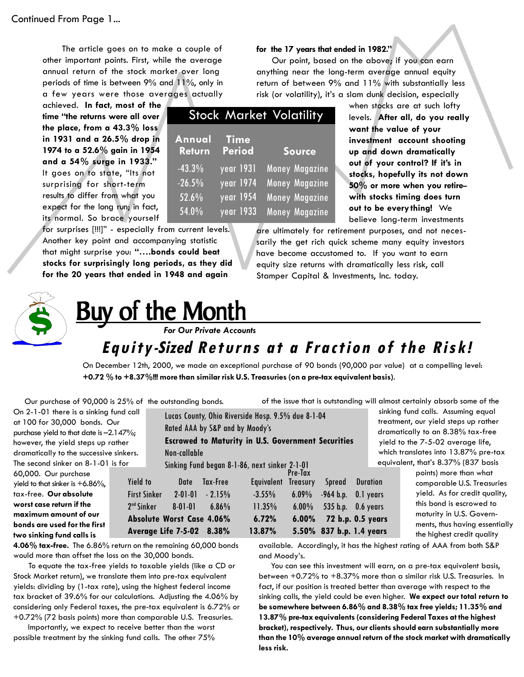The article goes on to make a couple of other important points. First, while the average annual return of the stock market over long periods of time is between 9% and 11%, only in a few years were those averages actually

achieved. **In fact, most of the** time "the returns were all over **the place, from a 43.3% loss in 1931 and a 26.5% drop in 1974 to a 52.6% gain in 1954 and a 54% surge in 1933.î** It goes on to state, "Its not surprising for short-term results to differ from what you expect for the long run; in fact, its normal. So brace yourself

**for the 17 years that ended in 1982.î**

Our point, based on the above; if you can earn anything near the long-term average annual equity return of between 9% and 11% with substantially less risk (or volatility), it's a slam dunk decision, especially

|                                        |                                                                      | <b>Stock Market Volatility</b>                                                            |
|----------------------------------------|----------------------------------------------------------------------|-------------------------------------------------------------------------------------------|
| Annual<br>Return                       | <b>Time</b><br><b>Period</b>                                         | <b>Source</b>                                                                             |
| $-43.3%$<br>$-26.5%$<br>52.6%<br>54.0% | year 1931<br>year 1974<br>$\overline{year}$ 1954<br><u>year 1933</u> | Money Magazine<br><b>Money Magazine</b><br><b>Money Magazine</b><br><b>Money Magazine</b> |

for surprises [!!!]" - especially from current levels. Another key point and accompanying statistic that might surprise you: "....bonds could beat **stocks for surprisingly long periods, as they did for the 20 years that ended in 1948 and again**

when stocks are at such lofty levels. **After all, do you really want the value of your investment account shooting up and down dramatically out of your control? If itís in stocks, hopefully its not down** 50% or more when you retire**with stocks timing does turn out to be every thing!** We believe long-term investments

are ultimately for retirement purposes, and not necessarily the get rich quick scheme many equity investors have become accustomed to. If you want to earn equity size returns with dramatically less risk, call Stamper Capital & Investments, Inc. today.



**two sinking fund calls is**

## Buy of the Month **Buy of the Month**

 *For Our Private Accounts*

### **Equity-Sized Returns at a Fraction of the Risk!**

On December 12th, 2000, we made an exceptional purchase of 90 bonds (90,000 par value) at a compelling level: **+0.72 % to +8.37%!!! more than similar risk U.S. Treasuries (on a pre-tax equivalent basis)**.

Our purchase of 90,000 is 25% of the outstanding bonds.

of the issue that is outstanding will almost certainly absorb some of the

On 2-1-01 there is a sinking fund call at 100 for 30,000 bonds. Our purchase yield to that date is  $-2.147\%$ ; however, the yield steps up rather dramatically to the successive sinkers. The second sinker on 8-1-01 is for 60,000. Our purchase yield to that sinker is  $+6.86\%$ , tax-free. **Our absolute worst case return if the maximum amount of our bonds are used for the first** Lucas County, Ohio Riverside Hosp. 9.5% due 8-1-04 Rated AAA by S&P and by Moodyís **Escrowed to Maturity in U.S. Government Securities** Non-callable Sinking Fund began 8-1-86, next sinker 2-1-01 Pre-Tax Yield to Date Tax-Free Equivalent Treasury Spread Duration First Sinker 2-01-01 - 2.15% -3.55% 6.09% -964 b.p. 0.1 years 2nd Sinker 8-01-01 6.86% 11.35% 6.00% 535 b.p. 0.6 years **Absolute Worst Case 4.06% 6.72% 6.00% 72 b.p. 0.5 years Average Life 7-5-02 8.38% 13.87% 5.50% 837 b.p. 1.4 years**

 sinking fund calls. Assuming equal treatment, our yield steps up rather dramatically to an 8.38% tax-free yield to the 7-5-02 average life, which translates into 13.87% pre-tax equivalent, that's 8.37% (837 basis points) more than what comparable U.S. Treasuries

yield.As for credit quality, this bond is escrowed to maturity in U.S. Governments, thus having essentially the highest credit quality

**4.06% tax-free.** The 6.86% return on the remaining 60,000 bonds would more than offset the loss on the 30,000 bonds.

 To equate the tax-free yields to taxable yields (like a CD or Stock Market return), we translate them into pre-tax equivalent yields: dividing by (1-tax rate), using the highest federal income tax bracket of 39.6% for our calculations. Adjusting the 4.06% by considering only Federal taxes, the pre-tax equivalent is 6.72% or +0.72% (72 basis points) more than comparable U.S. Treasuries.

 Importantly, we expect to receive better than the worst possible treatment by the sinking fund calls. The other 75%

available. Accordingly, it has the highest rating of AAA from both S&P and Moody's.

 You can see this investment will earn, on a pre-tax equivalent basis, between +0.72% to +8.37% more than a similar risk U.S. Treasuries. In fact, if our position is treated better than average with respect to the sinking calls, the yield could be even higher. **We expect our total return to be somewhere between 6.86% and 8.38% tax free yields; 11.35% and 13.87% pre-tax equivalents (considering Federal Taxes at the highest bracket), respectively. Thus, our clients should earn substantially more than the 10% average annual return of the stock market with dramatically less risk.**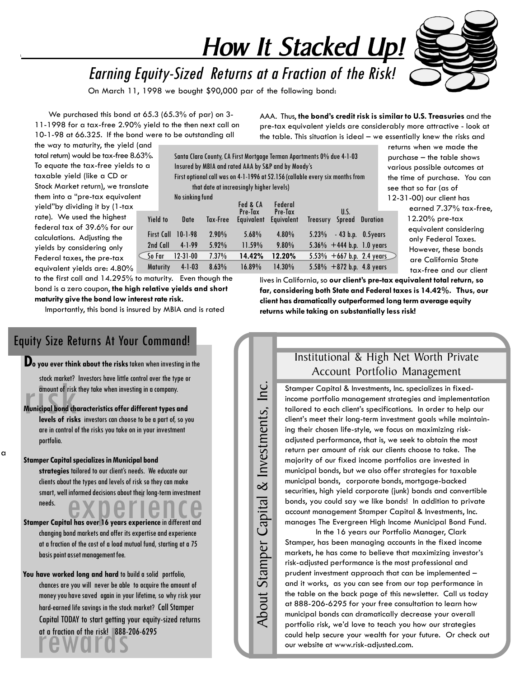# How It Stacked Up!

Earning Equity-Sized Returns at a Fraction of the Risk!

On March 11, 1998 we bought \$90,000 par of the following bond:

 We purchased this bond at 65.3 (65.3% of par) on 3- 11-1998 for a tax-free 2.90% yield to the then next call on 10-1-98 at 66.325. If the bond were to be outstanding all

AAA. Thus, **the bondís credit risk is similar to U.S. Treasuries** and the pre-tax equivalent yields are considerably more attractive - look at the table. This situation is ideal  $-$  we essentially knew the risks and

the way to maturity, the yield (and total return) would be tax-free 8.63%. To equate the tax-free yields to a taxable yield (like a CD or Stock Market return), we translate them into a "pre-tax equivalent yieldîby dividing it by (1-tax rate). We used the highest federal tax of 39.6% for our calculations. Adjusting the yields by considering only Federal taxes, the pre-tax equivalent yields are: 4.80% Maturity 4-1-03 8.63% 16.89% 14.30% 5.58% +872 b.p. 4.8 years

Santa Clara County, CA First Mortgage Terman Apartments 0% due 4-1-03 Insured by MBIA and rated AAA by S&P and by Moodyís First optional call was on 4-1-1996 at 52.156 (callable every six months from that date at increasingly higher levels) No sinking fund u<br>Fed & CA Federal Pre-Tax Pre-Tax U.S. Yield to Date Tax-Free Equivalent Equivalent Treasury Spread Duration First Call 10-1-98 2.90% 5.68% 4.80% 5.23% - 43 b.p. 0.5years 2nd Call 4-1-99 5.92% 11.59% 9.80% 5.36% +444 b.p. 1.0 years So Far 12-31-00 7.37% **14.42% 12.20%** 5.53% +667 b.p. 2.4 years

 returns when we made the  $purebase - the table shows$  various possible outcomes at the time of purchase. You can see that so far (as of 12-31-00) our client has

 earned 7.37% tax-free, 12.20% pre-tax equivalent considering only Federal Taxes. However, these bonds are California State tax-free and our client

to the first call and 14.295% to maturity. Even though the bond is a zero coupon, **the high relative yields and short maturity give the bond low interest rate risk.**

Importantly, this bond is insured by MBIA and is rated

#### Equity Size Returns At Your Command!

**Do you ever think about the risks** taken when investing in the

stock market? Investors have little control over the type or amount of risk they take when investing in a company.

stock market?<br>amount of risk<br>Municipal bond ch<br>levels of risk **Municipal bond characteristics offer different types and levels of risks** investors can choose to be a part of, so you are in control of the risks you take on in your investment portfolio.

**Stamper Capital specializes in Municipal bond**

a

smart, well informed decisions about their long-term investment<br> **Stamper Capital has over 16 years experience** in different and strategies tailored to our client's needs. We educate our clients about the types and levels of risk so they can make smart, well informed decisions about their long-term investment needs.

changing bond markets and offer its expertise and experience at a fraction of the cost of a load mutual fund, starting at a 75 basis point asset management fee.

 **You have worked long and hard** to build a solid portfolio, chances are you will never be able to acquire the amount of money you have saved again in your lifetime, so why risk your hard-earned life savings in the stock market? Call Stamper Capital TODAY to start getting your equity-sized returns at a fraction of the risk! 888-206-6295

Inc. About Stamper Capital & Investments, Inc. & Investments, Capital About Stamper

Institutional & High Net Worth Private Account Portfolio Management

lives in California, so **our clientís pre-tax equivalent total return, so far, considering both State and Federal taxes is 14.42%. Thus, our client has dramatically outperformed long term average equity**

**returns while taking on substantially less risk!**

Stamper Capital & Investments, Inc. specializes in fixedincome portfolio management strategies and implementation tailored to each client's specifications. In order to help our client's meet their long-term investment goals while maintaining their chosen life-style, we focus on maximizing riskadjusted performance, that is, we seek to obtain the most return per amount of risk our clients choose to take. The majority of our fixed income portfolios are invested in municipal bonds, but we also offer strategies for taxable municipal bonds, corporate bonds, mortgage-backed securities, high yield corporate (junk) bonds and convertible bonds, you could say we like bonds! In addition to private account management Stamper Capital & Investments, Inc. manages The Evergreen High Income Municipal Bond Fund.

In the 16 years our Portfolio Manager, Clark Stamper, has been managing accounts in the fixed income markets, he has come to believe that maximizing investor's risk-adjusted performance is the most professional and prudent investment approach that can be implemented  $$ and it works, as you can see from our top performance in the table on the back page of this newsletter. Call us today at 888-206-6295 for your free consultation to learn how municipal bonds can dramatically decrease your overall portfolio risk, we'd love to teach you how our strategies could help secure your wealth for your future. Or check out our website at www.risk-adjusted.com.